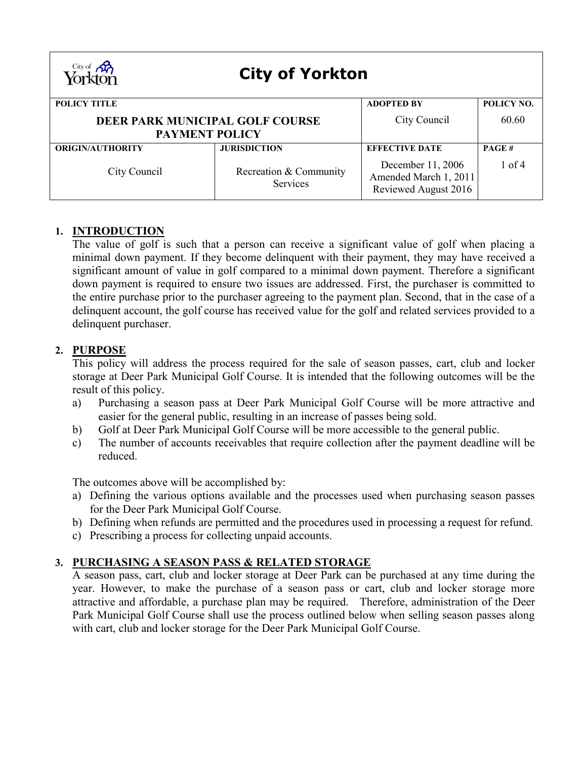| City of <b>AR</b><br>Yorkton<br><b>City of Yorkton</b>          |                                    |                                                                    |              |  |
|-----------------------------------------------------------------|------------------------------------|--------------------------------------------------------------------|--------------|--|
| <b>POLICY TITLE</b>                                             |                                    | <b>ADOPTED BY</b>                                                  | POLICY NO.   |  |
| <b>DEER PARK MUNICIPAL GOLF COURSE</b><br><b>PAYMENT POLICY</b> |                                    | City Council                                                       | 60.60        |  |
| <b>ORIGIN/AUTHORITY</b>                                         | <b>JURISDICTION</b>                | <b>EFFECTIVE DATE</b>                                              | <b>PAGE#</b> |  |
| City Council                                                    | Recreation & Community<br>Services | December 11, 2006<br>Amended March 1, 2011<br>Reviewed August 2016 | $1$ of 4     |  |

# **1. INTRODUCTION**

The value of golf is such that a person can receive a significant value of golf when placing a minimal down payment. If they become delinquent with their payment, they may have received a significant amount of value in golf compared to a minimal down payment. Therefore a significant down payment is required to ensure two issues are addressed. First, the purchaser is committed to the entire purchase prior to the purchaser agreeing to the payment plan. Second, that in the case of a delinquent account, the golf course has received value for the golf and related services provided to a delinquent purchaser.

# **2. PURPOSE**

This policy will address the process required for the sale of season passes, cart, club and locker storage at Deer Park Municipal Golf Course. It is intended that the following outcomes will be the result of this policy.

- a) Purchasing a season pass at Deer Park Municipal Golf Course will be more attractive and easier for the general public, resulting in an increase of passes being sold.
- b) Golf at Deer Park Municipal Golf Course will be more accessible to the general public.
- c) The number of accounts receivables that require collection after the payment deadline will be reduced.

The outcomes above will be accomplished by:

- a) Defining the various options available and the processes used when purchasing season passes for the Deer Park Municipal Golf Course.
- b) Defining when refunds are permitted and the procedures used in processing a request for refund.
- c) Prescribing a process for collecting unpaid accounts.

# **3. PURCHASING A SEASON PASS & RELATED STORAGE**

A season pass, cart, club and locker storage at Deer Park can be purchased at any time during the year. However, to make the purchase of a season pass or cart, club and locker storage more attractive and affordable, a purchase plan may be required. Therefore, administration of the Deer Park Municipal Golf Course shall use the process outlined below when selling season passes along with cart, club and locker storage for the Deer Park Municipal Golf Course.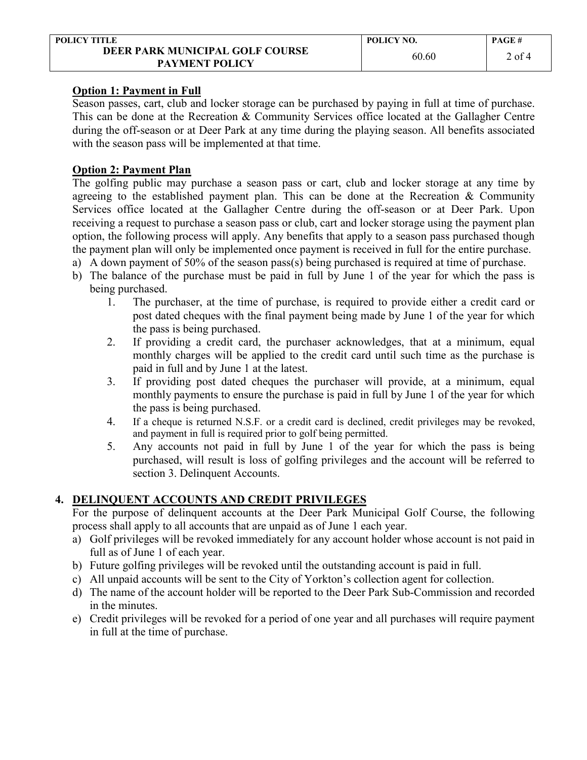| <b>POLICY TITLE</b>                                      | POLICY NO. | <b>PAGE#</b> |
|----------------------------------------------------------|------------|--------------|
| DEER PARK MUNICIPAL GOLF COURSE<br><b>PAYMENT POLICY</b> | 60.60      | 2 of 4       |

## **Option 1: Payment in Full**

Season passes, cart, club and locker storage can be purchased by paying in full at time of purchase. This can be done at the Recreation & Community Services office located at the Gallagher Centre during the off-season or at Deer Park at any time during the playing season. All benefits associated with the season pass will be implemented at that time.

## **Option 2: Payment Plan**

The golfing public may purchase a season pass or cart, club and locker storage at any time by agreeing to the established payment plan. This can be done at the Recreation  $\&$  Community Services office located at the Gallagher Centre during the off-season or at Deer Park. Upon receiving a request to purchase a season pass or club, cart and locker storage using the payment plan option, the following process will apply. Any benefits that apply to a season pass purchased though the payment plan will only be implemented once payment is received in full for the entire purchase.

- a) A down payment of 50% of the season pass(s) being purchased is required at time of purchase.
- b) The balance of the purchase must be paid in full by June 1 of the year for which the pass is being purchased.
	- 1. The purchaser, at the time of purchase, is required to provide either a credit card or post dated cheques with the final payment being made by June 1 of the year for which the pass is being purchased.
	- 2. If providing a credit card, the purchaser acknowledges, that at a minimum, equal monthly charges will be applied to the credit card until such time as the purchase is paid in full and by June 1 at the latest.
	- 3. If providing post dated cheques the purchaser will provide, at a minimum, equal monthly payments to ensure the purchase is paid in full by June 1 of the year for which the pass is being purchased.
	- 4. If a cheque is returned N.S.F. or a credit card is declined, credit privileges may be revoked, and payment in full is required prior to golf being permitted.
	- 5. Any accounts not paid in full by June 1 of the year for which the pass is being purchased, will result is loss of golfing privileges and the account will be referred to section 3. Delinquent Accounts.

# **4. DELINQUENT ACCOUNTS AND CREDIT PRIVILEGES**

For the purpose of delinquent accounts at the Deer Park Municipal Golf Course, the following process shall apply to all accounts that are unpaid as of June 1 each year.

- a) Golf privileges will be revoked immediately for any account holder whose account is not paid in full as of June 1 of each year.
- b) Future golfing privileges will be revoked until the outstanding account is paid in full.
- c) All unpaid accounts will be sent to the City of Yorkton's collection agent for collection.
- d) The name of the account holder will be reported to the Deer Park Sub-Commission and recorded in the minutes.
- e) Credit privileges will be revoked for a period of one year and all purchases will require payment in full at the time of purchase.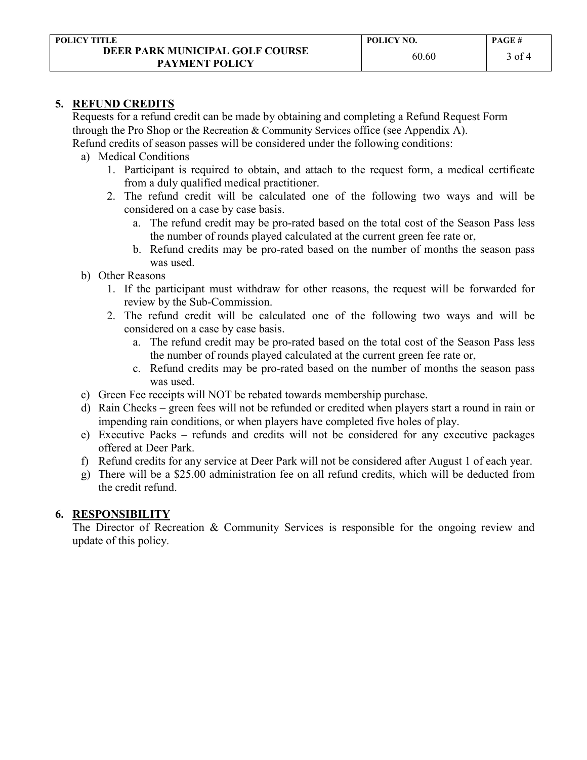#### **5. REFUND CREDITS**

Requests for a refund credit can be made by obtaining and completing a Refund Request Form through the Pro Shop or the Recreation & Community Services office (see Appendix A).

Refund credits of season passes will be considered under the following conditions:

- a) Medical Conditions
	- 1. Participant is required to obtain, and attach to the request form, a medical certificate from a duly qualified medical practitioner.
	- 2. The refund credit will be calculated one of the following two ways and will be considered on a case by case basis.
		- a. The refund credit may be pro-rated based on the total cost of the Season Pass less the number of rounds played calculated at the current green fee rate or,
		- b. Refund credits may be pro-rated based on the number of months the season pass was used.
- b) Other Reasons
	- 1. If the participant must withdraw for other reasons, the request will be forwarded for review by the Sub-Commission.
	- 2. The refund credit will be calculated one of the following two ways and will be considered on a case by case basis.
		- a. The refund credit may be pro-rated based on the total cost of the Season Pass less the number of rounds played calculated at the current green fee rate or,
		- c. Refund credits may be pro-rated based on the number of months the season pass was used.
- c) Green Fee receipts will NOT be rebated towards membership purchase.
- d) Rain Checks green fees will not be refunded or credited when players start a round in rain or impending rain conditions, or when players have completed five holes of play.
- e) Executive Packs refunds and credits will not be considered for any executive packages offered at Deer Park.
- f) Refund credits for any service at Deer Park will not be considered after August 1 of each year.
- g) There will be a \$25.00 administration fee on all refund credits, which will be deducted from the credit refund.

# **6. RESPONSIBILITY**

The Director of Recreation & Community Services is responsible for the ongoing review and update of this policy.